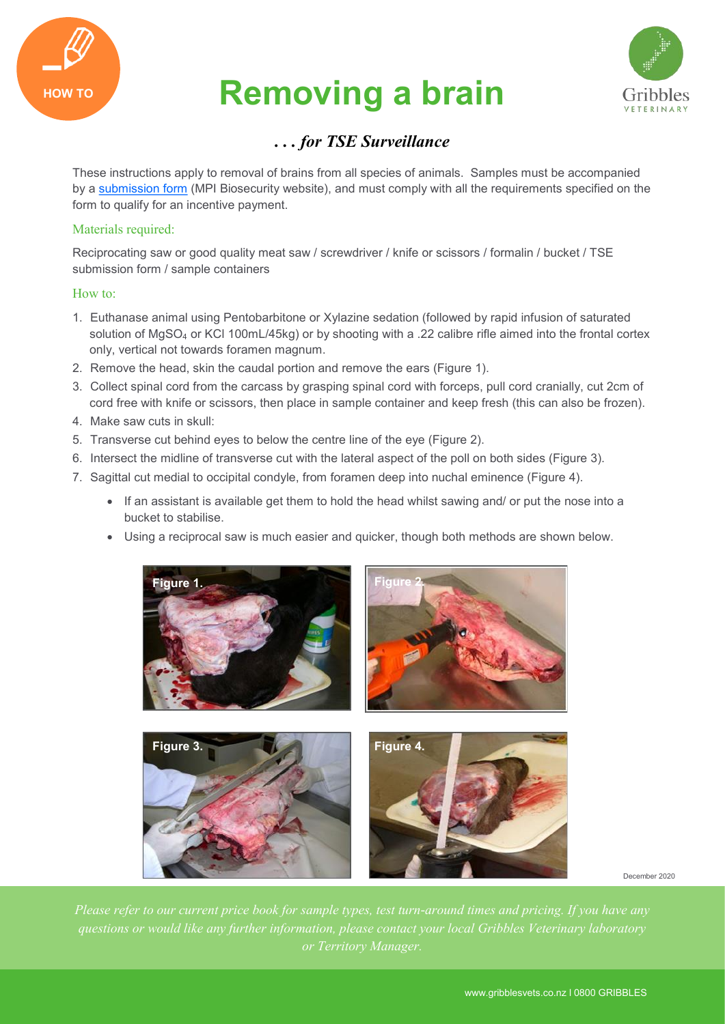

# HOW TO **Removing a brain**



## *. . . for TSE Surveillance*

These instructions apply to removal of brains from all species of animals. Samples must be accompanied by a [submission form](https://www.biosecurity.govt.nz/dmsdocument/10493-tse-surveillance-submission-form) (MPI Biosecurity website), and must comply with all the requirements specified on the form to qualify for an incentive payment.

### Materials required:

Reciprocating saw or good quality meat saw / screwdriver / knife or scissors / formalin / bucket / TSE submission form / sample containers

#### How to:

- 1. Euthanase animal using Pentobarbitone or Xylazine sedation (followed by rapid infusion of saturated solution of MgSO<sub>4</sub> or KCl 100mL/45kg) or by shooting with a .22 calibre rifle aimed into the frontal cortex only, vertical not towards foramen magnum.
- 2. Remove the head, skin the caudal portion and remove the ears (Figure 1).
- 3. Collect spinal cord from the carcass by grasping spinal cord with forceps, pull cord cranially, cut 2cm of cord free with knife or scissors, then place in sample container and keep fresh (this can also be frozen).
- 4. Make saw cuts in skull:
- 5. Transverse cut behind eyes to below the centre line of the eye (Figure 2).
- 6. Intersect the midline of transverse cut with the lateral aspect of the poll on both sides (Figure 3).
- 7. Sagittal cut medial to occipital condyle, from foramen deep into nuchal eminence (Figure 4).
	- If an assistant is available get them to hold the head whilst sawing and/ or put the nose into a bucket to stabilise.
	- Using a reciprocal saw is much easier and quicker, though both methods are shown below.



December 2020